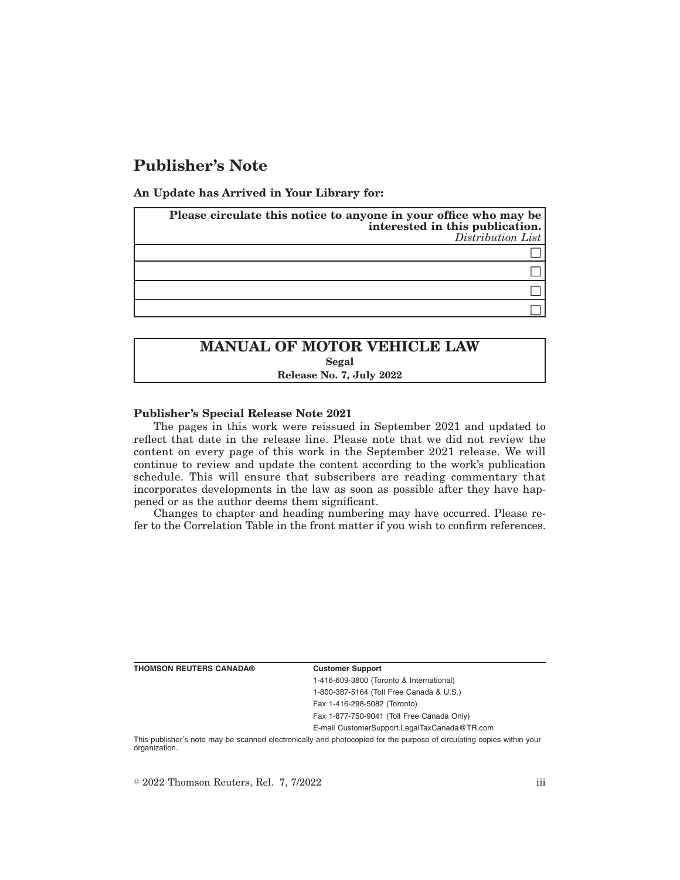# **Publisher's Note**

**An Update has Arrived in Your Library for:**

| Please circulate this notice to anyone in your office who may be<br>interested in this publication.<br>Distribution List |
|--------------------------------------------------------------------------------------------------------------------------|
|                                                                                                                          |
|                                                                                                                          |
|                                                                                                                          |
|                                                                                                                          |

## **MANUAL OF MOTOR VEHICLE LAW Segal Release No. 7, July 2022**

### **Publisher's Special Release Note 2021**

The pages in this work were reissued in September 2021 and updated to reflect that date in the release line. Please note that we did not review the content on every page of this work in the September 2021 release. We will continue to review and update the content according to the work's publication schedule. This will ensure that subscribers are reading commentary that incorporates developments in the law as soon as possible after they have happened or as the author deems them significant.

Changes to chapter and heading numbering may have occurred. Please refer to the Correlation Table in the front matter if you wish to confirm references.

**THOMSON REUTERS CANADA® Customer Support**

1-416-609-3800 (Toronto & International) 1-800-387-5164 (Toll Free Canada & U.S.)

Fax 1-416-298-5082 (Toronto)

Fax 1-877-750-9041 (Toll Free Canada Only)

E-mail CustomerSupport.LegalTaxCanada@TR.com

This publisher's note may be scanned electronically and photocopied for the purpose of circulating copies within your organization.

 $\degree$  2022 Thomson Reuters, Rel. 7, 7/2022 iii